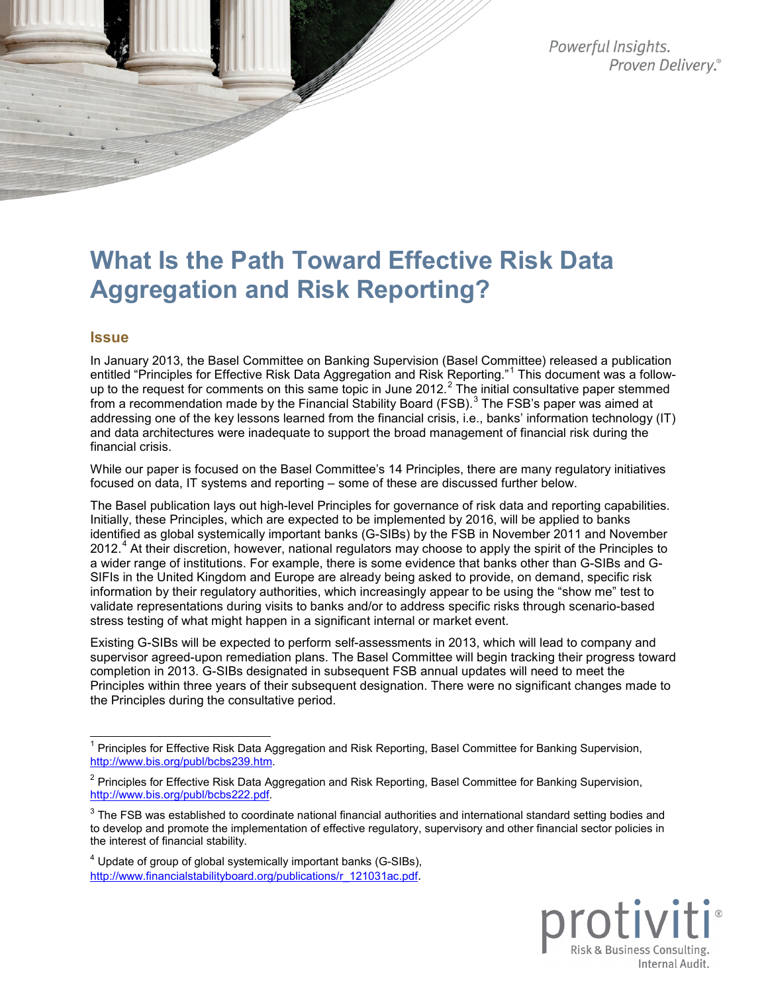Powerful Insights. Proven Delivery.®

# **What Is the Path Toward Effective Risk Data Aggregation and Risk Reporting?**

#### **Issue**

In January 2013, the Basel Committee on Banking Supervision (Basel Committee) released a publication entitled "Principles for Effective Risk Data Aggregation and Risk Reporting."<sup>[1](#page-0-0)</sup> This document was a follow-up to the request for comments on this same topic in June [2](#page-0-1)012.<sup>2</sup> The initial consultative paper stemmed from a recommendation made by the Financial Stability Board (FSB).<sup>[3](#page-0-2)</sup> The FSB's paper was aimed at addressing one of the key lessons learned from the financial crisis, i.e., banks' information technology (IT) and data architectures were inadequate to support the broad management of financial risk during the financial crisis.

While our paper is focused on the Basel Committee's 14 Principles, there are many regulatory initiatives focused on data, IT systems and reporting – some of these are discussed further below.

The Basel publication lays out high-level Principles for governance of risk data and reporting capabilities. Initially, these Principles, which are expected to be implemented by 2016, will be applied to banks identified as global systemically important banks (G-SIBs) by the FSB in November 2011 and November 2012.<sup>[4](#page-0-3)</sup> At their discretion, however, national regulators may choose to apply the spirit of the Principles to a wider range of institutions. For example, there is some evidence that banks other than G-SIBs and G-SIFIs in the United Kingdom and Europe are already being asked to provide, on demand, specific risk information by their regulatory authorities, which increasingly appear to be using the "show me" test to validate representations during visits to banks and/or to address specific risks through scenario-based stress testing of what might happen in a significant internal or market event.

Existing G-SIBs will be expected to perform self-assessments in 2013, which will lead to company and supervisor agreed-upon remediation plans. The Basel Committee will begin tracking their progress toward completion in 2013. G-SIBs designated in subsequent FSB annual updates will need to meet the Principles within three years of their subsequent designation. There were no significant changes made to the Principles during the consultative period.



<span id="page-0-0"></span> $1$  Principles for Effective Risk Data Aggregation and Risk Reporting, Basel Committee for Banking Supervision, [http://www.bis.org/publ/bcbs239.htm.](http://www.bis.org/publ/bcbs239.htm)

<span id="page-0-1"></span><sup>&</sup>lt;sup>2</sup> Principles for Effective Risk Data Aggregation and Risk Reporting, Basel Committee for Banking Supervision, [http://www.bis.org/publ/bcbs222.pdf.](http://www.bis.org/publ/bcbs222.pdf)

<span id="page-0-2"></span> $3$  The FSB was established to coordinate national financial authorities and international standard setting bodies and to develop and promote the implementation of effective regulatory, supervisory and other financial sector policies in the interest of financial stability.

<span id="page-0-3"></span><sup>4</sup> Update of group of global systemically important banks (G-SIBs), [http://www.financialstabilityboard.org/publications/r\\_121031ac.pdf.](http://www.financialstabilityboard.org/publications/r_121031ac.pdf)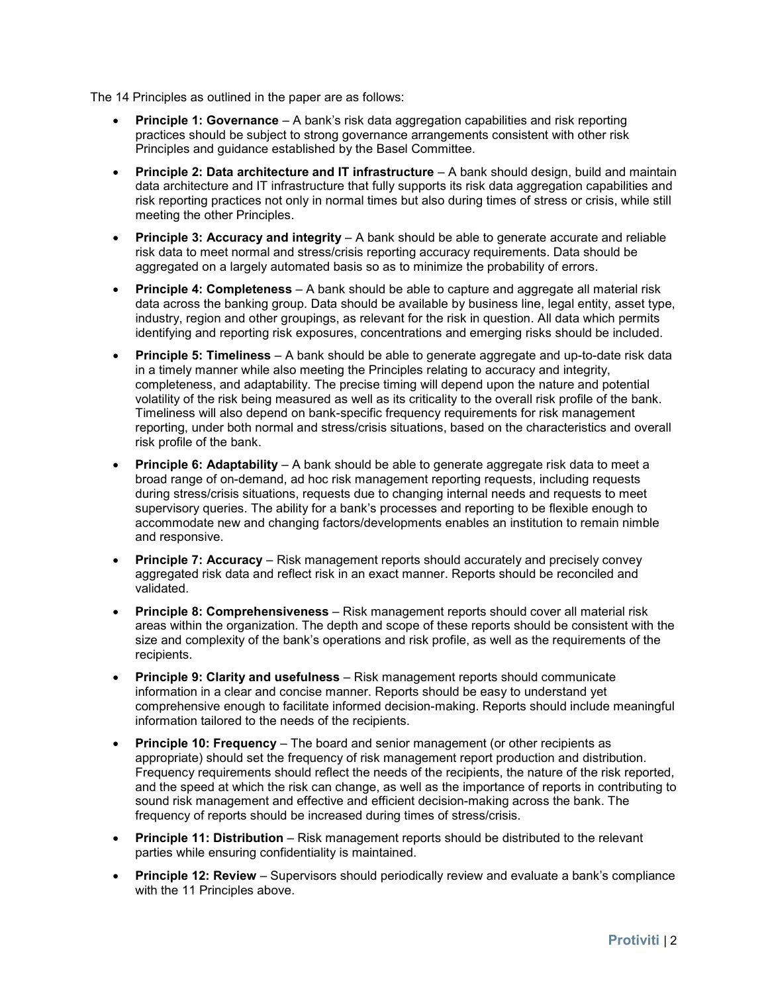The 14 Principles as outlined in the paper are as follows:

- **Principle 1: Governance** A bank's risk data aggregation capabilities and risk reporting practices should be subject to strong governance arrangements consistent with other risk Principles and guidance established by the Basel Committee.
- **Principle 2: Data architecture and IT infrastructure** A bank should design, build and maintain data architecture and IT infrastructure that fully supports its risk data aggregation capabilities and risk reporting practices not only in normal times but also during times of stress or crisis, while still meeting the other Principles.
- **Principle 3: Accuracy and integrity** A bank should be able to generate accurate and reliable risk data to meet normal and stress/crisis reporting accuracy requirements. Data should be aggregated on a largely automated basis so as to minimize the probability of errors.
- **Principle 4: Completeness** A bank should be able to capture and aggregate all material risk data across the banking group. Data should be available by business line, legal entity, asset type, industry, region and other groupings, as relevant for the risk in question. All data which permits identifying and reporting risk exposures, concentrations and emerging risks should be included.
- **Principle 5: Timeliness** A bank should be able to generate aggregate and up-to-date risk data in a timely manner while also meeting the Principles relating to accuracy and integrity, completeness, and adaptability. The precise timing will depend upon the nature and potential volatility of the risk being measured as well as its criticality to the overall risk profile of the bank. Timeliness will also depend on bank-specific frequency requirements for risk management reporting, under both normal and stress/crisis situations, based on the characteristics and overall risk profile of the bank.
- **Principle 6: Adaptability** A bank should be able to generate aggregate risk data to meet a broad range of on-demand, ad hoc risk management reporting requests, including requests during stress/crisis situations, requests due to changing internal needs and requests to meet supervisory queries. The ability for a bank's processes and reporting to be flexible enough to accommodate new and changing factors/developments enables an institution to remain nimble and responsive.
- **Principle 7: Accuracy** Risk management reports should accurately and precisely convey aggregated risk data and reflect risk in an exact manner. Reports should be reconciled and validated.
- **Principle 8: Comprehensiveness** Risk management reports should cover all material risk areas within the organization. The depth and scope of these reports should be consistent with the size and complexity of the bank's operations and risk profile, as well as the requirements of the recipients.
- **Principle 9: Clarity and usefulness** Risk management reports should communicate information in a clear and concise manner. Reports should be easy to understand yet comprehensive enough to facilitate informed decision-making. Reports should include meaningful information tailored to the needs of the recipients.
- **Principle 10: Frequency** The board and senior management (or other recipients as appropriate) should set the frequency of risk management report production and distribution. Frequency requirements should reflect the needs of the recipients, the nature of the risk reported, and the speed at which the risk can change, as well as the importance of reports in contributing to sound risk management and effective and efficient decision-making across the bank. The frequency of reports should be increased during times of stress/crisis.
- **Principle 11: Distribution** Risk management reports should be distributed to the relevant parties while ensuring confidentiality is maintained.
- **Principle 12: Review** Supervisors should periodically review and evaluate a bank's compliance with the 11 Principles above.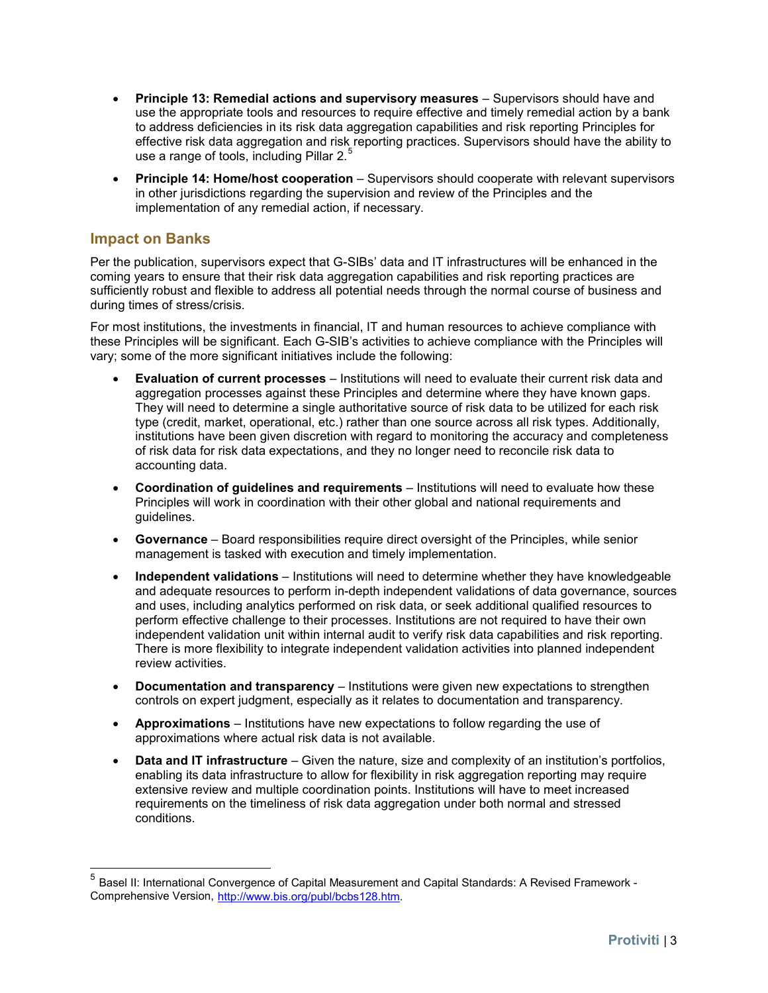- **Principle 13: Remedial actions and supervisory measures** Supervisors should have and use the appropriate tools and resources to require effective and timely remedial action by a bank to address deficiencies in its risk data aggregation capabilities and risk reporting Principles for effective risk data aggregation and risk reporting practices. Supervisors should have the ability to use a range of tools, including Pillar 2.<sup>[5](#page-2-0)</sup>
- **Principle 14: Home/host cooperation** Supervisors should cooperate with relevant supervisors in other jurisdictions regarding the supervision and review of the Principles and the implementation of any remedial action, if necessary.

## **Impact on Banks**

Per the publication, supervisors expect that G-SIBs' data and IT infrastructures will be enhanced in the coming years to ensure that their risk data aggregation capabilities and risk reporting practices are sufficiently robust and flexible to address all potential needs through the normal course of business and during times of stress/crisis.

For most institutions, the investments in financial, IT and human resources to achieve compliance with these Principles will be significant. Each G-SIB's activities to achieve compliance with the Principles will vary; some of the more significant initiatives include the following:

- **Evaluation of current processes** Institutions will need to evaluate their current risk data and aggregation processes against these Principles and determine where they have known gaps. They will need to determine a single authoritative source of risk data to be utilized for each risk type (credit, market, operational, etc.) rather than one source across all risk types. Additionally, institutions have been given discretion with regard to monitoring the accuracy and completeness of risk data for risk data expectations, and they no longer need to reconcile risk data to accounting data.
- **Coordination of guidelines and requirements** Institutions will need to evaluate how these Principles will work in coordination with their other global and national requirements and guidelines.
- **Governance** Board responsibilities require direct oversight of the Principles, while senior management is tasked with execution and timely implementation.
- **Independent validations** Institutions will need to determine whether they have knowledgeable and adequate resources to perform in-depth independent validations of data governance, sources and uses, including analytics performed on risk data, or seek additional qualified resources to perform effective challenge to their processes. Institutions are not required to have their own independent validation unit within internal audit to verify risk data capabilities and risk reporting. There is more flexibility to integrate independent validation activities into planned independent review activities.
- **Documentation and transparency** Institutions were given new expectations to strengthen controls on expert judgment, especially as it relates to documentation and transparency.
- **Approximations** Institutions have new expectations to follow regarding the use of approximations where actual risk data is not available.
- **Data and IT infrastructure** Given the nature, size and complexity of an institution's portfolios, enabling its data infrastructure to allow for flexibility in risk aggregation reporting may require extensive review and multiple coordination points. Institutions will have to meet increased requirements on the timeliness of risk data aggregation under both normal and stressed conditions.

<span id="page-2-0"></span> <sup>5</sup> Basel II: International Convergence of Capital Measurement and Capital Standards: A Revised Framework - Comprehensive Version, [http://www.bis.org/publ/bcbs128.htm.](http://www.bis.org/publ/bcbs128.htm)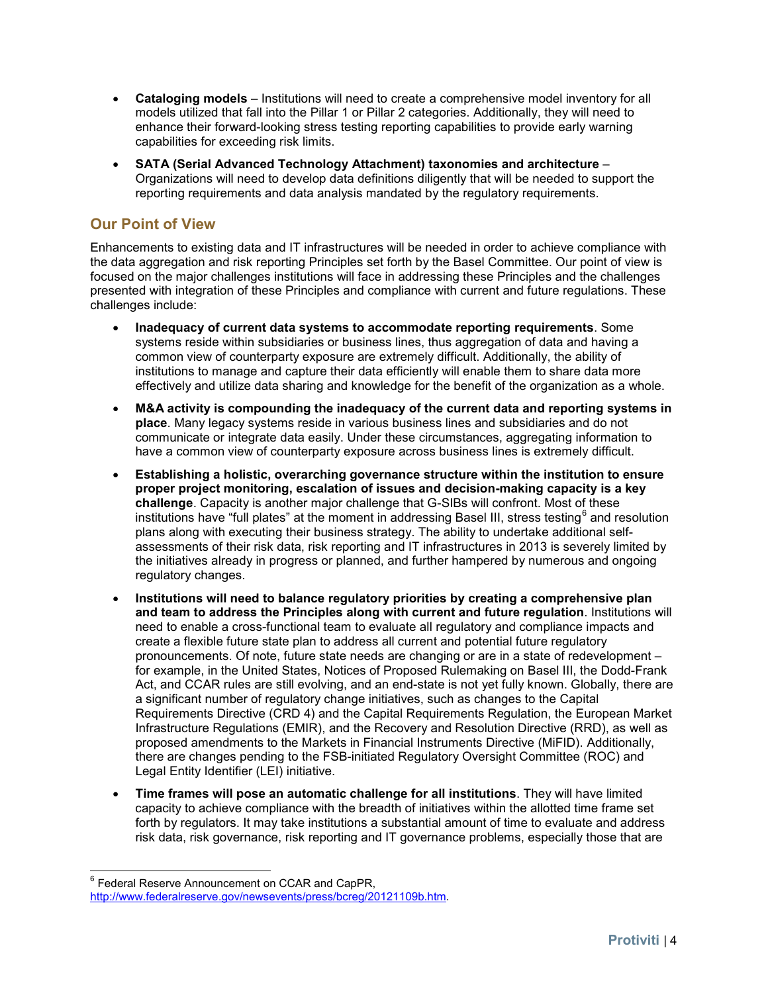- **Cataloging models** Institutions will need to create a comprehensive model inventory for all models utilized that fall into the Pillar 1 or Pillar 2 categories. Additionally, they will need to enhance their forward-looking stress testing reporting capabilities to provide early warning capabilities for exceeding risk limits.
- **SATA (Serial Advanced Technology Attachment) taxonomies and architecture** Organizations will need to develop data definitions diligently that will be needed to support the reporting requirements and data analysis mandated by the regulatory requirements.

# **Our Point of View**

Enhancements to existing data and IT infrastructures will be needed in order to achieve compliance with the data aggregation and risk reporting Principles set forth by the Basel Committee. Our point of view is focused on the major challenges institutions will face in addressing these Principles and the challenges presented with integration of these Principles and compliance with current and future regulations. These challenges include:

- **Inadequacy of current data systems to accommodate reporting requirements**. Some systems reside within subsidiaries or business lines, thus aggregation of data and having a common view of counterparty exposure are extremely difficult. Additionally, the ability of institutions to manage and capture their data efficiently will enable them to share data more effectively and utilize data sharing and knowledge for the benefit of the organization as a whole.
- **M&A activity is compounding the inadequacy of the current data and reporting systems in place**. Many legacy systems reside in various business lines and subsidiaries and do not communicate or integrate data easily. Under these circumstances, aggregating information to have a common view of counterparty exposure across business lines is extremely difficult.
- **Establishing a holistic, overarching governance structure within the institution to ensure proper project monitoring, escalation of issues and decision-making capacity is a key challenge**. Capacity is another major challenge that G-SIBs will confront. Most of these institutions have "full plates" at the moment in addressing Basel III, stress testing  $6$  and resolution plans along with executing their business strategy. The ability to undertake additional selfassessments of their risk data, risk reporting and IT infrastructures in 2013 is severely limited by the initiatives already in progress or planned, and further hampered by numerous and ongoing regulatory changes.
- **Institutions will need to balance regulatory priorities by creating a comprehensive plan and team to address the Principles along with current and future regulation**. Institutions will need to enable a cross-functional team to evaluate all regulatory and compliance impacts and create a flexible future state plan to address all current and potential future regulatory pronouncements. Of note, future state needs are changing or are in a state of redevelopment – for example, in the United States, Notices of Proposed Rulemaking on Basel III, the Dodd-Frank Act, and CCAR rules are still evolving, and an end-state is not yet fully known. Globally, there are a significant number of regulatory change initiatives, such as changes to the Capital Requirements Directive (CRD 4) and the Capital Requirements Regulation, the European Market Infrastructure Regulations (EMIR), and the Recovery and Resolution Directive (RRD), as well as proposed amendments to the Markets in Financial Instruments Directive (MiFID). Additionally, there are changes pending to the FSB-initiated Regulatory Oversight Committee (ROC) and Legal Entity Identifier (LEI) initiative.
- **Time frames will pose an automatic challenge for all institutions**. They will have limited capacity to achieve compliance with the breadth of initiatives within the allotted time frame set forth by regulators. It may take institutions a substantial amount of time to evaluate and address risk data, risk governance, risk reporting and IT governance problems, especially those that are

<span id="page-3-0"></span> $6$  Federal Reserve Announcement on CCAR and CapPR, [http://www.federalreserve.gov/newsevents/press/bcreg/20121109b.htm.](http://www.federalreserve.gov/newsevents/press/bcreg/20121109b.htm)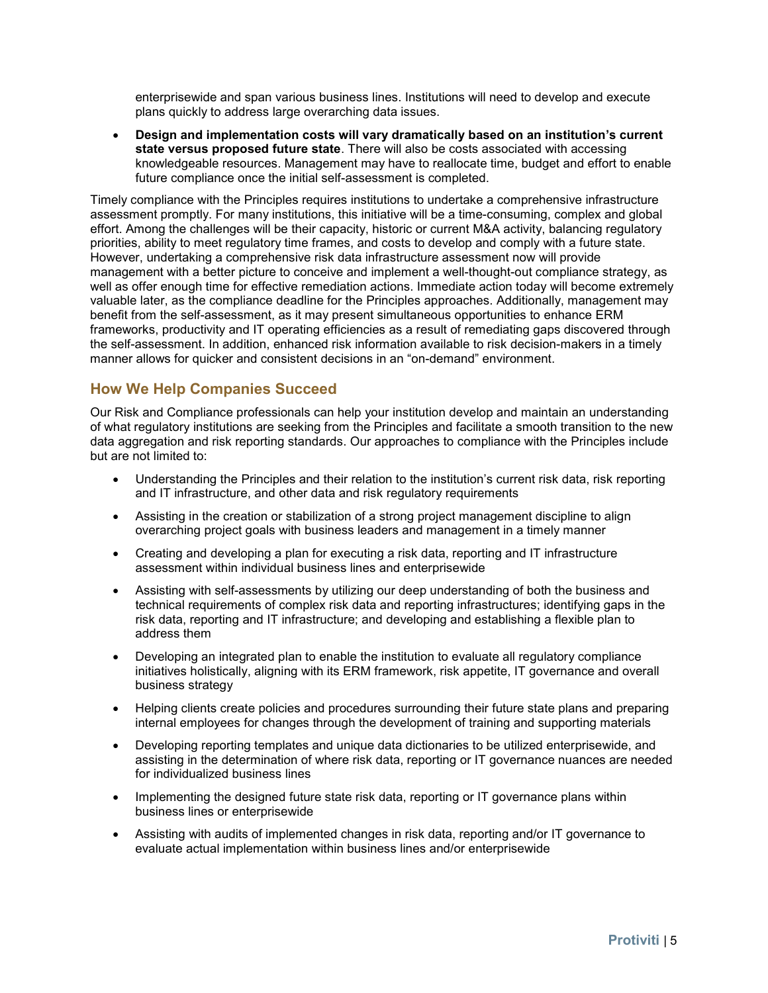enterprisewide and span various business lines. Institutions will need to develop and execute plans quickly to address large overarching data issues.

• **Design and implementation costs will vary dramatically based on an institution's current state versus proposed future state**. There will also be costs associated with accessing knowledgeable resources. Management may have to reallocate time, budget and effort to enable future compliance once the initial self-assessment is completed.

Timely compliance with the Principles requires institutions to undertake a comprehensive infrastructure assessment promptly. For many institutions, this initiative will be a time-consuming, complex and global effort. Among the challenges will be their capacity, historic or current M&A activity, balancing regulatory priorities, ability to meet regulatory time frames, and costs to develop and comply with a future state. However, undertaking a comprehensive risk data infrastructure assessment now will provide management with a better picture to conceive and implement a well-thought-out compliance strategy, as well as offer enough time for effective remediation actions. Immediate action today will become extremely valuable later, as the compliance deadline for the Principles approaches. Additionally, management may benefit from the self-assessment, as it may present simultaneous opportunities to enhance ERM frameworks, productivity and IT operating efficiencies as a result of remediating gaps discovered through the self-assessment. In addition, enhanced risk information available to risk decision-makers in a timely manner allows for quicker and consistent decisions in an "on-demand" environment.

## **How We Help Companies Succeed**

Our Risk and Compliance professionals can help your institution develop and maintain an understanding of what regulatory institutions are seeking from the Principles and facilitate a smooth transition to the new data aggregation and risk reporting standards. Our approaches to compliance with the Principles include but are not limited to:

- Understanding the Principles and their relation to the institution's current risk data, risk reporting and IT infrastructure, and other data and risk regulatory requirements
- Assisting in the creation or stabilization of a strong project management discipline to align overarching project goals with business leaders and management in a timely manner
- Creating and developing a plan for executing a risk data, reporting and IT infrastructure assessment within individual business lines and enterprisewide
- Assisting with self-assessments by utilizing our deep understanding of both the business and technical requirements of complex risk data and reporting infrastructures; identifying gaps in the risk data, reporting and IT infrastructure; and developing and establishing a flexible plan to address them
- Developing an integrated plan to enable the institution to evaluate all regulatory compliance initiatives holistically, aligning with its ERM framework, risk appetite, IT governance and overall business strategy
- Helping clients create policies and procedures surrounding their future state plans and preparing internal employees for changes through the development of training and supporting materials
- Developing reporting templates and unique data dictionaries to be utilized enterprisewide, and assisting in the determination of where risk data, reporting or IT governance nuances are needed for individualized business lines
- Implementing the designed future state risk data, reporting or IT governance plans within business lines or enterprisewide
- Assisting with audits of implemented changes in risk data, reporting and/or IT governance to evaluate actual implementation within business lines and/or enterprisewide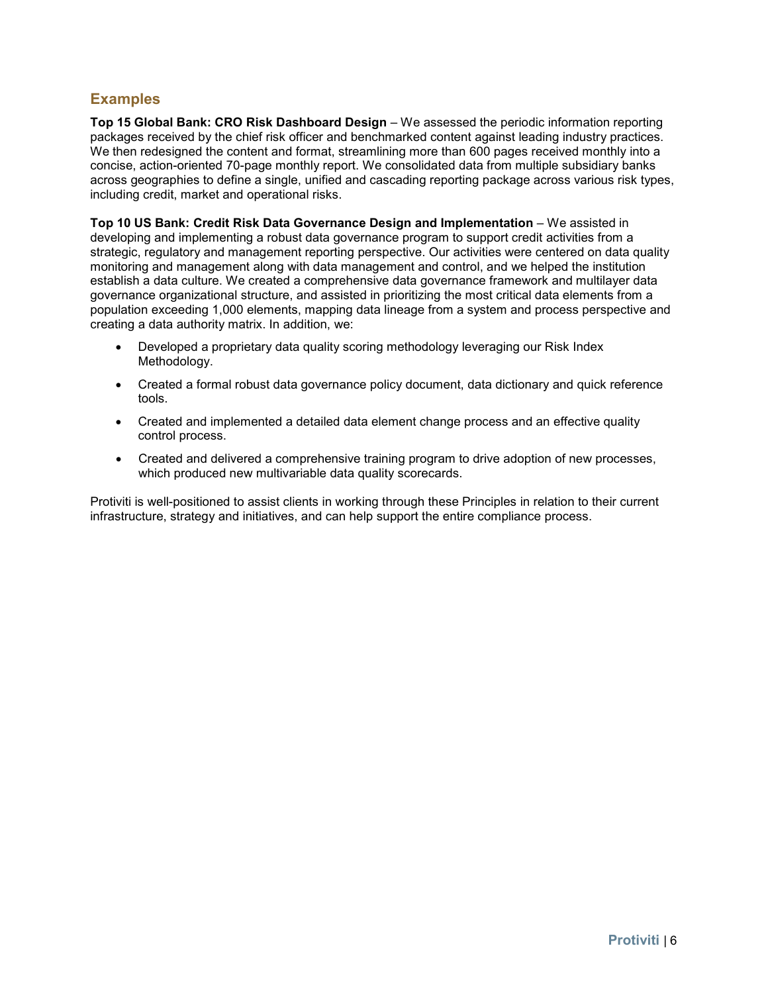## **Examples**

**Top 15 Global Bank: CRO Risk Dashboard Design** – We assessed the periodic information reporting packages received by the chief risk officer and benchmarked content against leading industry practices. We then redesigned the content and format, streamlining more than 600 pages received monthly into a concise, action-oriented 70-page monthly report. We consolidated data from multiple subsidiary banks across geographies to define a single, unified and cascading reporting package across various risk types, including credit, market and operational risks.

**Top 10 US Bank: Credit Risk Data Governance Design and Implementation** – We assisted in developing and implementing a robust data governance program to support credit activities from a strategic, regulatory and management reporting perspective. Our activities were centered on data quality monitoring and management along with data management and control, and we helped the institution establish a data culture. We created a comprehensive data governance framework and multilayer data governance organizational structure, and assisted in prioritizing the most critical data elements from a population exceeding 1,000 elements, mapping data lineage from a system and process perspective and creating a data authority matrix. In addition, we:

- Developed a proprietary data quality scoring methodology leveraging our Risk Index Methodology.
- Created a formal robust data governance policy document, data dictionary and quick reference tools.
- Created and implemented a detailed data element change process and an effective quality control process.
- Created and delivered a comprehensive training program to drive adoption of new processes, which produced new multivariable data quality scorecards.

Protiviti is well-positioned to assist clients in working through these Principles in relation to their current infrastructure, strategy and initiatives, and can help support the entire compliance process.